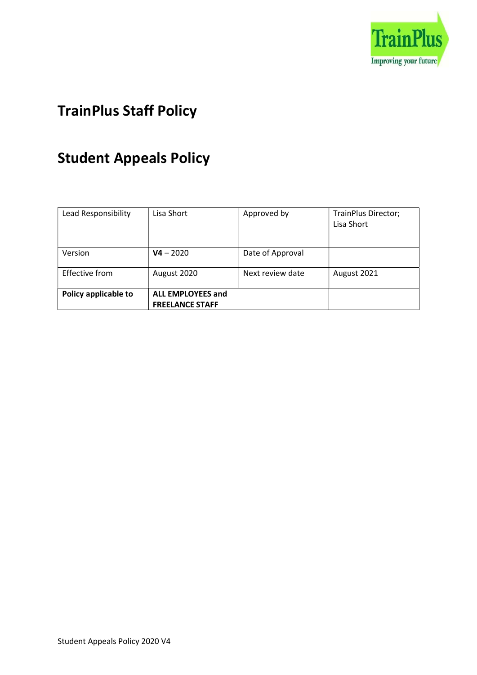

# TrainPlus Staff Policy

# Student Appeals Policy

| Lead Responsibility  | Lisa Short               | Approved by      | TrainPlus Director;<br>Lisa Short |
|----------------------|--------------------------|------------------|-----------------------------------|
|                      |                          |                  |                                   |
|                      |                          |                  |                                   |
| Version              | $V4 - 2020$              | Date of Approval |                                   |
|                      |                          |                  |                                   |
| Effective from       | August 2020              | Next review date | August 2021                       |
|                      |                          |                  |                                   |
| Policy applicable to | <b>ALL EMPLOYEES and</b> |                  |                                   |
|                      | <b>FREELANCE STAFF</b>   |                  |                                   |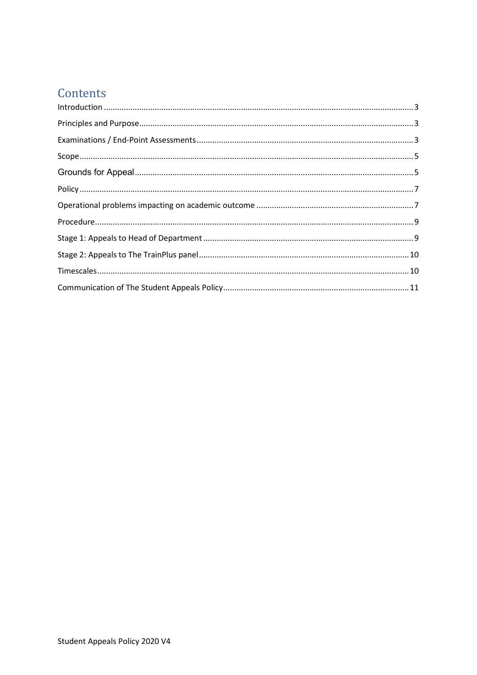## Contents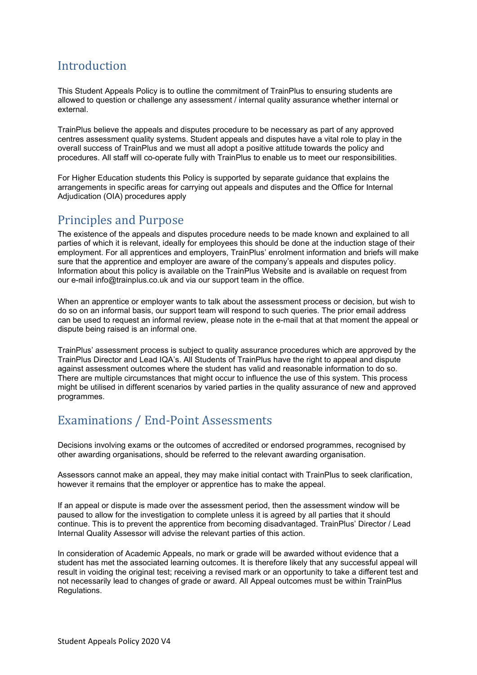## **Introduction**

This Student Appeals Policy is to outline the commitment of TrainPlus to ensuring students are allowed to question or challenge any assessment / internal quality assurance whether internal or external.

TrainPlus believe the appeals and disputes procedure to be necessary as part of any approved centres assessment quality systems. Student appeals and disputes have a vital role to play in the overall success of TrainPlus and we must all adopt a positive attitude towards the policy and procedures. All staff will co-operate fully with TrainPlus to enable us to meet our responsibilities.

For Higher Education students this Policy is supported by separate guidance that explains the arrangements in specific areas for carrying out appeals and disputes and the Office for Internal Adjudication (OIA) procedures apply

### Principles and Purpose

The existence of the appeals and disputes procedure needs to be made known and explained to all parties of which it is relevant, ideally for employees this should be done at the induction stage of their employment. For all apprentices and employers, TrainPlus' enrolment information and briefs will make sure that the apprentice and employer are aware of the company's appeals and disputes policy. Information about this policy is available on the TrainPlus Website and is available on request from our e-mail info@trainplus.co.uk and via our support team in the office.

When an apprentice or employer wants to talk about the assessment process or decision, but wish to do so on an informal basis, our support team will respond to such queries. The prior email address can be used to request an informal review, please note in the e-mail that at that moment the appeal or dispute being raised is an informal one.

TrainPlus' assessment process is subject to quality assurance procedures which are approved by the TrainPlus Director and Lead IQA's. All Students of TrainPlus have the right to appeal and dispute against assessment outcomes where the student has valid and reasonable information to do so. There are multiple circumstances that might occur to influence the use of this system. This process might be utilised in different scenarios by varied parties in the quality assurance of new and approved programmes.

## Examinations / End-Point Assessments

Decisions involving exams or the outcomes of accredited or endorsed programmes, recognised by other awarding organisations, should be referred to the relevant awarding organisation.

Assessors cannot make an appeal, they may make initial contact with TrainPlus to seek clarification, however it remains that the employer or apprentice has to make the appeal.

If an appeal or dispute is made over the assessment period, then the assessment window will be paused to allow for the investigation to complete unless it is agreed by all parties that it should continue. This is to prevent the apprentice from becoming disadvantaged. TrainPlus' Director / Lead Internal Quality Assessor will advise the relevant parties of this action.

In consideration of Academic Appeals, no mark or grade will be awarded without evidence that a student has met the associated learning outcomes. It is therefore likely that any successful appeal will result in voiding the original test; receiving a revised mark or an opportunity to take a different test and not necessarily lead to changes of grade or award. All Appeal outcomes must be within TrainPlus Regulations.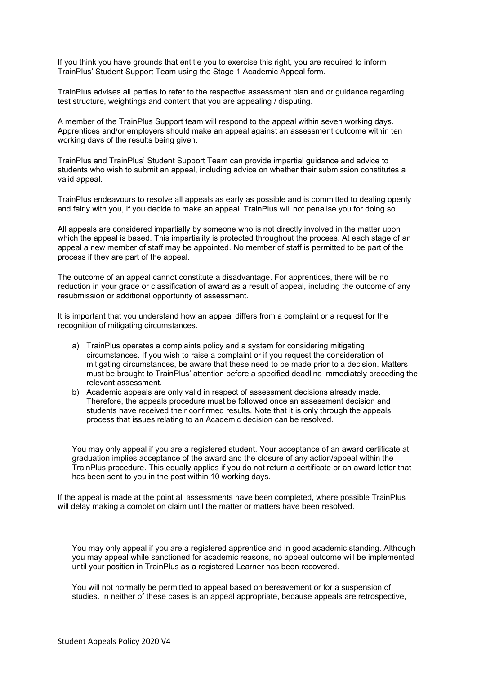If you think you have grounds that entitle you to exercise this right, you are required to inform TrainPlus' Student Support Team using the Stage 1 Academic Appeal form.

TrainPlus advises all parties to refer to the respective assessment plan and or guidance regarding test structure, weightings and content that you are appealing / disputing.

A member of the TrainPlus Support team will respond to the appeal within seven working days. Apprentices and/or employers should make an appeal against an assessment outcome within ten working days of the results being given.

TrainPlus and TrainPlus' Student Support Team can provide impartial guidance and advice to students who wish to submit an appeal, including advice on whether their submission constitutes a valid appeal.

TrainPlus endeavours to resolve all appeals as early as possible and is committed to dealing openly and fairly with you, if you decide to make an appeal. TrainPlus will not penalise you for doing so.

All appeals are considered impartially by someone who is not directly involved in the matter upon which the appeal is based. This impartiality is protected throughout the process. At each stage of an appeal a new member of staff may be appointed. No member of staff is permitted to be part of the process if they are part of the appeal.

The outcome of an appeal cannot constitute a disadvantage. For apprentices, there will be no reduction in your grade or classification of award as a result of appeal, including the outcome of any resubmission or additional opportunity of assessment.

It is important that you understand how an appeal differs from a complaint or a request for the recognition of mitigating circumstances.

- a) TrainPlus operates a complaints policy and a system for considering mitigating circumstances. If you wish to raise a complaint or if you request the consideration of mitigating circumstances, be aware that these need to be made prior to a decision. Matters must be brought to TrainPlus' attention before a specified deadline immediately preceding the relevant assessment.
- b) Academic appeals are only valid in respect of assessment decisions already made. Therefore, the appeals procedure must be followed once an assessment decision and students have received their confirmed results. Note that it is only through the appeals process that issues relating to an Academic decision can be resolved.

You may only appeal if you are a registered student. Your acceptance of an award certificate at graduation implies acceptance of the award and the closure of any action/appeal within the TrainPlus procedure. This equally applies if you do not return a certificate or an award letter that has been sent to you in the post within 10 working days.

If the appeal is made at the point all assessments have been completed, where possible TrainPlus will delay making a completion claim until the matter or matters have been resolved.

You may only appeal if you are a registered apprentice and in good academic standing. Although you may appeal while sanctioned for academic reasons, no appeal outcome will be implemented until your position in TrainPlus as a registered Learner has been recovered.

You will not normally be permitted to appeal based on bereavement or for a suspension of studies. In neither of these cases is an appeal appropriate, because appeals are retrospective,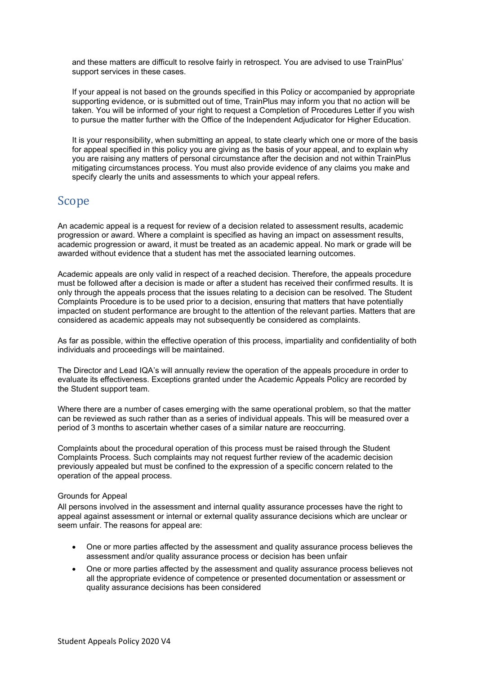and these matters are difficult to resolve fairly in retrospect. You are advised to use TrainPlus' support services in these cases.

If your appeal is not based on the grounds specified in this Policy or accompanied by appropriate supporting evidence, or is submitted out of time, TrainPlus may inform you that no action will be taken. You will be informed of your right to request a Completion of Procedures Letter if you wish to pursue the matter further with the Office of the Independent Adjudicator for Higher Education.

It is your responsibility, when submitting an appeal, to state clearly which one or more of the basis for appeal specified in this policy you are giving as the basis of your appeal, and to explain why you are raising any matters of personal circumstance after the decision and not within TrainPlus mitigating circumstances process. You must also provide evidence of any claims you make and specify clearly the units and assessments to which your appeal refers.

#### Scope

An academic appeal is a request for review of a decision related to assessment results, academic progression or award. Where a complaint is specified as having an impact on assessment results, academic progression or award, it must be treated as an academic appeal. No mark or grade will be awarded without evidence that a student has met the associated learning outcomes.

Academic appeals are only valid in respect of a reached decision. Therefore, the appeals procedure must be followed after a decision is made or after a student has received their confirmed results. It is only through the appeals process that the issues relating to a decision can be resolved. The Student Complaints Procedure is to be used prior to a decision, ensuring that matters that have potentially impacted on student performance are brought to the attention of the relevant parties. Matters that are considered as academic appeals may not subsequently be considered as complaints.

As far as possible, within the effective operation of this process, impartiality and confidentiality of both individuals and proceedings will be maintained.

The Director and Lead IQA's will annually review the operation of the appeals procedure in order to evaluate its effectiveness. Exceptions granted under the Academic Appeals Policy are recorded by the Student support team.

Where there are a number of cases emerging with the same operational problem, so that the matter can be reviewed as such rather than as a series of individual appeals. This will be measured over a period of 3 months to ascertain whether cases of a similar nature are reoccurring.

Complaints about the procedural operation of this process must be raised through the Student Complaints Process. Such complaints may not request further review of the academic decision previously appealed but must be confined to the expression of a specific concern related to the operation of the appeal process.

#### Grounds for Appeal

All persons involved in the assessment and internal quality assurance processes have the right to appeal against assessment or internal or external quality assurance decisions which are unclear or seem unfair. The reasons for appeal are:

- One or more parties affected by the assessment and quality assurance process believes the assessment and/or quality assurance process or decision has been unfair
- One or more parties affected by the assessment and quality assurance process believes not all the appropriate evidence of competence or presented documentation or assessment or quality assurance decisions has been considered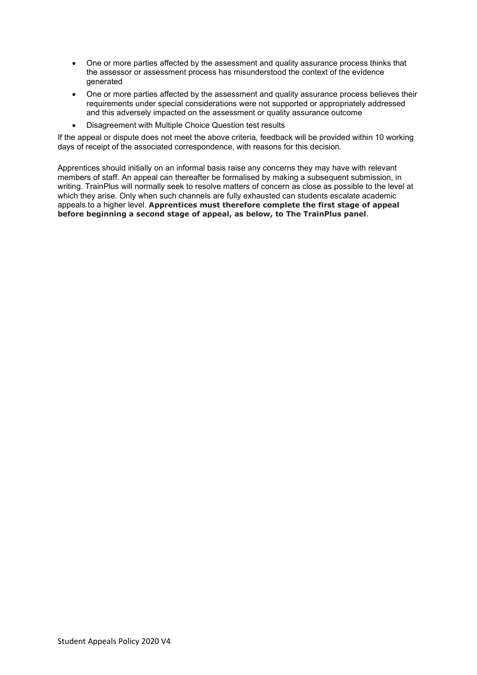- One or more parties affected by the assessment and quality assurance process thinks that the assessor or assessment process has misunderstood the context of the evidence generated
- One or more parties affected by the assessment and quality assurance process believes their requirements under special considerations were not supported or appropriately addressed and this adversely impacted on the assessment or quality assurance outcome
- Disagreement with Multiple Choice Question test results

If the appeal or dispute does not meet the above criteria, feedback will be provided within 10 working days of receipt of the associated correspondence, with reasons for this decision.

Apprentices should initially on an informal basis raise any concerns they may have with relevant members of staff. An appeal can thereafter be formalised by making a subsequent submission, in writing. TrainPlus will normally seek to resolve matters of concern as close as possible to the level at which they arise. Only when such channels are fully exhausted can students escalate academic appeals to a higher level. Apprentices must therefore complete the first stage of appeal before beginning a second stage of appeal, as below, to The TrainPlus panel.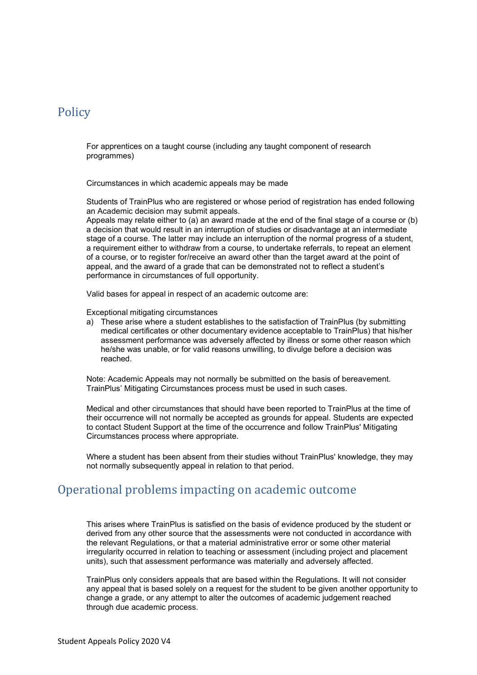### Policy

For apprentices on a taught course (including any taught component of research programmes)

Circumstances in which academic appeals may be made

Students of TrainPlus who are registered or whose period of registration has ended following an Academic decision may submit appeals.

Appeals may relate either to (a) an award made at the end of the final stage of a course or (b) a decision that would result in an interruption of studies or disadvantage at an intermediate stage of a course. The latter may include an interruption of the normal progress of a student, a requirement either to withdraw from a course, to undertake referrals, to repeat an element of a course, or to register for/receive an award other than the target award at the point of appeal, and the award of a grade that can be demonstrated not to reflect a student's performance in circumstances of full opportunity.

Valid bases for appeal in respect of an academic outcome are:

Exceptional mitigating circumstances

a) These arise where a student establishes to the satisfaction of TrainPlus (by submitting medical certificates or other documentary evidence acceptable to TrainPlus) that his/her assessment performance was adversely affected by illness or some other reason which he/she was unable, or for valid reasons unwilling, to divulge before a decision was reached.

Note: Academic Appeals may not normally be submitted on the basis of bereavement. TrainPlus' Mitigating Circumstances process must be used in such cases.

Medical and other circumstances that should have been reported to TrainPlus at the time of their occurrence will not normally be accepted as grounds for appeal. Students are expected to contact Student Support at the time of the occurrence and follow TrainPlus' Mitigating Circumstances process where appropriate.

Where a student has been absent from their studies without TrainPlus' knowledge, they may not normally subsequently appeal in relation to that period.

#### Operational problems impacting on academic outcome

This arises where TrainPlus is satisfied on the basis of evidence produced by the student or derived from any other source that the assessments were not conducted in accordance with the relevant Regulations, or that a material administrative error or some other material irregularity occurred in relation to teaching or assessment (including project and placement units), such that assessment performance was materially and adversely affected.

TrainPlus only considers appeals that are based within the Regulations. It will not consider any appeal that is based solely on a request for the student to be given another opportunity to change a grade, or any attempt to alter the outcomes of academic judgement reached through due academic process.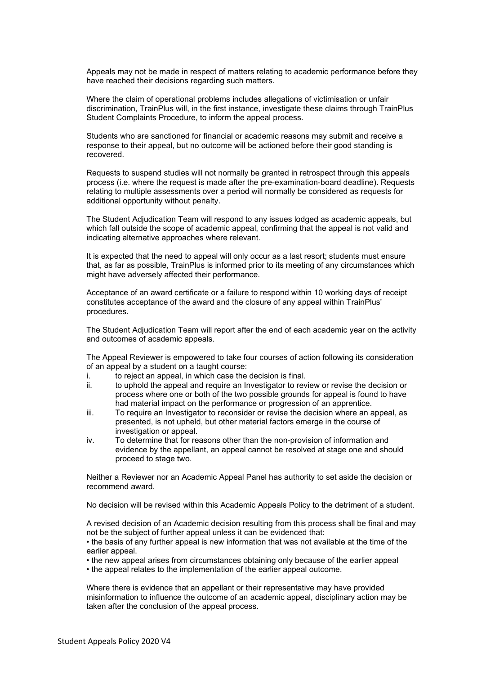Appeals may not be made in respect of matters relating to academic performance before they have reached their decisions regarding such matters.

Where the claim of operational problems includes allegations of victimisation or unfair discrimination, TrainPlus will, in the first instance, investigate these claims through TrainPlus Student Complaints Procedure, to inform the appeal process.

Students who are sanctioned for financial or academic reasons may submit and receive a response to their appeal, but no outcome will be actioned before their good standing is recovered.

Requests to suspend studies will not normally be granted in retrospect through this appeals process (i.e. where the request is made after the pre-examination-board deadline). Requests relating to multiple assessments over a period will normally be considered as requests for additional opportunity without penalty.

The Student Adjudication Team will respond to any issues lodged as academic appeals, but which fall outside the scope of academic appeal, confirming that the appeal is not valid and indicating alternative approaches where relevant.

It is expected that the need to appeal will only occur as a last resort; students must ensure that, as far as possible, TrainPlus is informed prior to its meeting of any circumstances which might have adversely affected their performance.

Acceptance of an award certificate or a failure to respond within 10 working days of receipt constitutes acceptance of the award and the closure of any appeal within TrainPlus' procedures.

The Student Adjudication Team will report after the end of each academic year on the activity and outcomes of academic appeals.

The Appeal Reviewer is empowered to take four courses of action following its consideration of an appeal by a student on a taught course:

- i. to reject an appeal, in which case the decision is final.
- ii. to uphold the appeal and require an Investigator to review or revise the decision or process where one or both of the two possible grounds for appeal is found to have had material impact on the performance or progression of an apprentice.
- iii. To require an Investigator to reconsider or revise the decision where an appeal, as presented, is not upheld, but other material factors emerge in the course of investigation or appeal.
- iv. To determine that for reasons other than the non-provision of information and evidence by the appellant, an appeal cannot be resolved at stage one and should proceed to stage two.

Neither a Reviewer nor an Academic Appeal Panel has authority to set aside the decision or recommend award.

No decision will be revised within this Academic Appeals Policy to the detriment of a student.

A revised decision of an Academic decision resulting from this process shall be final and may not be the subject of further appeal unless it can be evidenced that:

• the basis of any further appeal is new information that was not available at the time of the earlier appeal.

- the new appeal arises from circumstances obtaining only because of the earlier appeal
- the appeal relates to the implementation of the earlier appeal outcome.

Where there is evidence that an appellant or their representative may have provided misinformation to influence the outcome of an academic appeal, disciplinary action may be taken after the conclusion of the appeal process.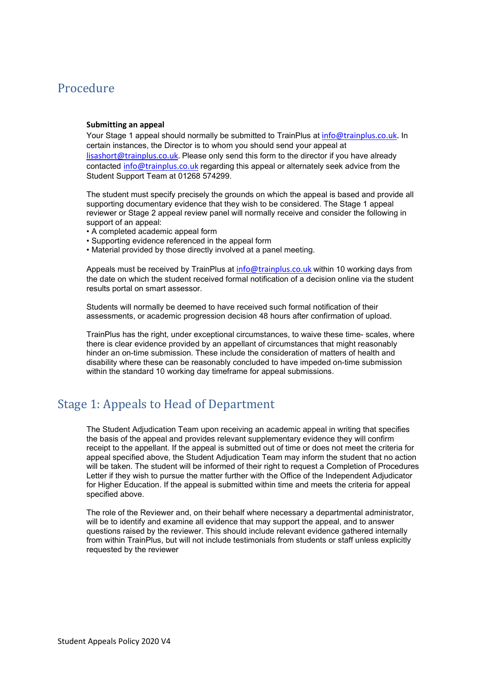### Procedure

#### Submitting an appeal

Your Stage 1 appeal should normally be submitted to TrainPlus at info@trainplus.co.uk. In certain instances, the Director is to whom you should send your appeal at lisashort@trainplus.co.uk. Please only send this form to the director if you have already contacted info@trainplus.co.uk regarding this appeal or alternately seek advice from the Student Support Team at 01268 574299.

The student must specify precisely the grounds on which the appeal is based and provide all supporting documentary evidence that they wish to be considered. The Stage 1 appeal reviewer or Stage 2 appeal review panel will normally receive and consider the following in support of an appeal:

- A completed academic appeal form
- Supporting evidence referenced in the appeal form
- Material provided by those directly involved at a panel meeting.

Appeals must be received by TrainPlus at info@trainplus.co.uk within 10 working days from the date on which the student received formal notification of a decision online via the student results portal on smart assessor.

Students will normally be deemed to have received such formal notification of their assessments, or academic progression decision 48 hours after confirmation of upload.

TrainPlus has the right, under exceptional circumstances, to waive these time- scales, where there is clear evidence provided by an appellant of circumstances that might reasonably hinder an on-time submission. These include the consideration of matters of health and disability where these can be reasonably concluded to have impeded on-time submission within the standard 10 working day timeframe for appeal submissions.

## Stage 1: Appeals to Head of Department

The Student Adjudication Team upon receiving an academic appeal in writing that specifies the basis of the appeal and provides relevant supplementary evidence they will confirm receipt to the appellant. If the appeal is submitted out of time or does not meet the criteria for appeal specified above, the Student Adjudication Team may inform the student that no action will be taken. The student will be informed of their right to request a Completion of Procedures Letter if they wish to pursue the matter further with the Office of the Independent Adjudicator for Higher Education. If the appeal is submitted within time and meets the criteria for appeal specified above.

The role of the Reviewer and, on their behalf where necessary a departmental administrator, will be to identify and examine all evidence that may support the appeal, and to answer questions raised by the reviewer. This should include relevant evidence gathered internally from within TrainPlus, but will not include testimonials from students or staff unless explicitly requested by the reviewer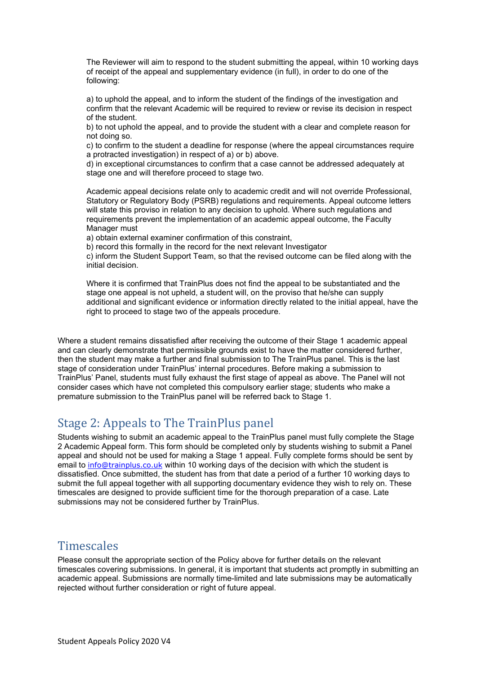The Reviewer will aim to respond to the student submitting the appeal, within 10 working days of receipt of the appeal and supplementary evidence (in full), in order to do one of the following:

a) to uphold the appeal, and to inform the student of the findings of the investigation and confirm that the relevant Academic will be required to review or revise its decision in respect of the student.

b) to not uphold the appeal, and to provide the student with a clear and complete reason for not doing so.

c) to confirm to the student a deadline for response (where the appeal circumstances require a protracted investigation) in respect of a) or b) above.

d) in exceptional circumstances to confirm that a case cannot be addressed adequately at stage one and will therefore proceed to stage two.

Academic appeal decisions relate only to academic credit and will not override Professional, Statutory or Regulatory Body (PSRB) regulations and requirements. Appeal outcome letters will state this proviso in relation to any decision to uphold. Where such regulations and requirements prevent the implementation of an academic appeal outcome, the Faculty Manager must

a) obtain external examiner confirmation of this constraint,

b) record this formally in the record for the next relevant Investigator

c) inform the Student Support Team, so that the revised outcome can be filed along with the initial decision.

Where it is confirmed that TrainPlus does not find the appeal to be substantiated and the stage one appeal is not upheld, a student will, on the proviso that he/she can supply additional and significant evidence or information directly related to the initial appeal, have the right to proceed to stage two of the appeals procedure.

Where a student remains dissatisfied after receiving the outcome of their Stage 1 academic appeal and can clearly demonstrate that permissible grounds exist to have the matter considered further, then the student may make a further and final submission to The TrainPlus panel. This is the last stage of consideration under TrainPlus' internal procedures. Before making a submission to TrainPlus' Panel, students must fully exhaust the first stage of appeal as above. The Panel will not consider cases which have not completed this compulsory earlier stage; students who make a premature submission to the TrainPlus panel will be referred back to Stage 1.

### Stage 2: Appeals to The TrainPlus panel

Students wishing to submit an academic appeal to the TrainPlus panel must fully complete the Stage 2 Academic Appeal form. This form should be completed only by students wishing to submit a Panel appeal and should not be used for making a Stage 1 appeal. Fully complete forms should be sent by email to info@trainplus.co.uk within 10 working days of the decision with which the student is dissatisfied. Once submitted, the student has from that date a period of a further 10 working days to submit the full appeal together with all supporting documentary evidence they wish to rely on. These timescales are designed to provide sufficient time for the thorough preparation of a case. Late submissions may not be considered further by TrainPlus.

#### **Timescales**

Please consult the appropriate section of the Policy above for further details on the relevant timescales covering submissions. In general, it is important that students act promptly in submitting an academic appeal. Submissions are normally time-limited and late submissions may be automatically rejected without further consideration or right of future appeal.